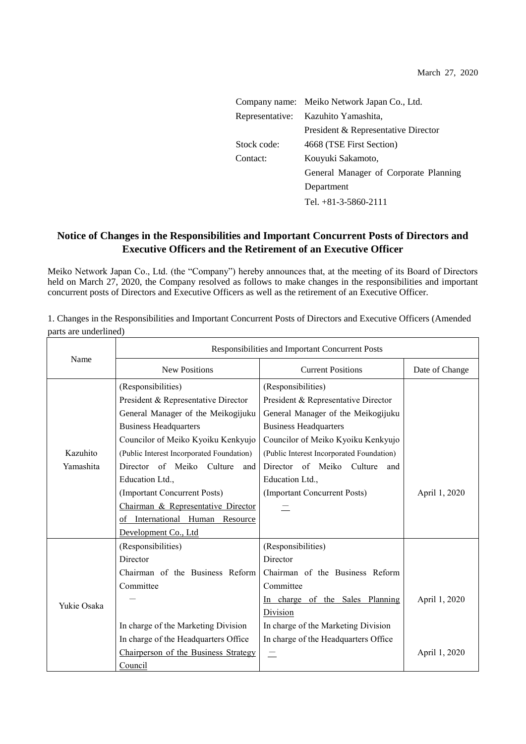|                 | Company name: Meiko Network Japan Co., Ltd. |  |  |
|-----------------|---------------------------------------------|--|--|
| Representative: | Kazuhito Yamashita,                         |  |  |
|                 | President & Representative Director         |  |  |
| Stock code:     | 4668 (TSE First Section)                    |  |  |
| Contact:        | Kouyuki Sakamoto,                           |  |  |
|                 | General Manager of Corporate Planning       |  |  |
|                 | Department                                  |  |  |
|                 | Tel. $+81-3-5860-2111$                      |  |  |

## **Notice of Changes in the Responsibilities and Important Concurrent Posts of Directors and Executive Officers and the Retirement of an Executive Officer**

Meiko Network Japan Co., Ltd. (the "Company") hereby announces that, at the meeting of its Board of Directors held on March 27, 2020, the Company resolved as follows to make changes in the responsibilities and important concurrent posts of Directors and Executive Officers as well as the retirement of an Executive Officer.

1. Changes in the Responsibilities and Important Concurrent Posts of Directors and Executive Officers (Amended parts are underlined)

|                       | Responsibilities and Important Concurrent Posts |                                           |                |  |
|-----------------------|-------------------------------------------------|-------------------------------------------|----------------|--|
| Name                  | <b>New Positions</b>                            | <b>Current Positions</b>                  | Date of Change |  |
|                       | (Responsibilities)                              | (Responsibilities)                        |                |  |
|                       | President & Representative Director             | President & Representative Director       |                |  |
|                       | General Manager of the Meikogijuku              | General Manager of the Meikogijuku        |                |  |
|                       | <b>Business Headquarters</b>                    | <b>Business Headquarters</b>              |                |  |
| Kazuhito<br>Yamashita | Councilor of Meiko Kyoiku Kenkyujo              | Councilor of Meiko Kyoiku Kenkyujo        |                |  |
|                       | (Public Interest Incorporated Foundation)       | (Public Interest Incorporated Foundation) |                |  |
|                       | Director of Meiko<br>Culture<br>and l           | Director of Meiko Culture<br>and          |                |  |
|                       | Education Ltd.,                                 | Education Ltd.,                           |                |  |
|                       | (Important Concurrent Posts)                    | (Important Concurrent Posts)              | April 1, 2020  |  |
|                       | Chairman & Representative Director              |                                           |                |  |
|                       | of International Human Resource                 |                                           |                |  |
|                       | Development Co., Ltd                            |                                           |                |  |
| Yukie Osaka           | (Responsibilities)                              | (Responsibilities)                        |                |  |
|                       | Director                                        | Director                                  |                |  |
|                       | Chairman of the Business Reform                 | Chairman of the Business Reform           |                |  |
|                       | Committee                                       | Committee                                 |                |  |
|                       |                                                 | In charge of the Sales Planning           | April 1, 2020  |  |
|                       |                                                 | Division                                  |                |  |
|                       | In charge of the Marketing Division             | In charge of the Marketing Division       |                |  |
|                       | In charge of the Headquarters Office            | In charge of the Headquarters Office      |                |  |
|                       | Chairperson of the Business Strategy            |                                           | April 1, 2020  |  |
|                       | Council                                         |                                           |                |  |